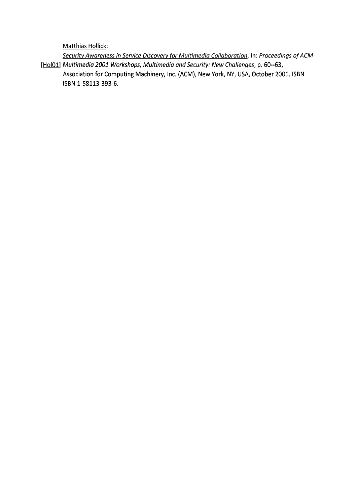Matthias Hollick:

Security Awareness in Service Discovery for Multimedia Collaboration. In: Proceedings of ACM [Hol01] Multimedia 2001 Workshops, Multimedia and Security: New Challenges, p. 60--63, Association for Computing Machinery, Inc. (ACM), New York, NY, USA, October 2001. ISBN ISBN 1-58113-393-6.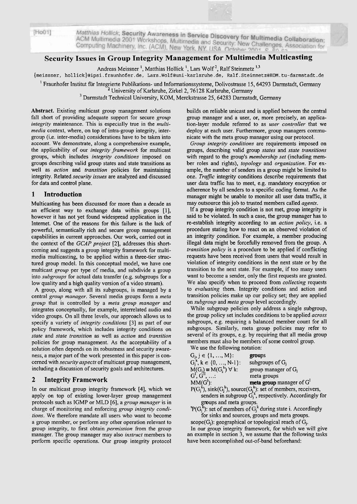| [HOO1] |  |  |
|--------|--|--|
|        |  |  |
|        |  |  |

Matthias Hollick; Security Awareness in Service Discovery for Multimedia Collaboration;<br>ACM Multimedia 2001 Workshops, Multimedia and Security Norr Multimedia Collaboration; Mattries Hollick, Security Awareness in Service Discovery for Multimedia Collaboration;<br>ACM Multimedia 2001 Workshops, Multimedia and Security: New Challenges, Association for<br>Computing Machinery, Inc. (ACM), New York, NY Computing Machinery, Inc. (ACM), New York, NY USA October 2001 Scomputing Machinery, Inc. (ACM), New York, NY USA October 2001 S

# **Security Issues in Group Integrity Management for Multimedia Multicasting**

Andreas Meissner<sup>1</sup>, Matthias Hollick<sup>1</sup>, Lars Wolf<sup>2</sup>, Ralf Steinmetz<sup>1,3</sup>

 ${meissner, hollick}$ @ipsi.fraunhofer.de, Lars.Wolf@uni-karlsruhe.de, Ralf.Steinmetz@KOM.tu-darmstadt.de

Fraunhofer Institut für Integrierte Publikations- und Informationssysteme, Dolivostrasse 15,64293 Darmstadt, Germany **<sup>2</sup>**University of Karlsruhe, Zirkel 2,76 128 Karlsruhe, Germany

<sup>3</sup> Darmstadt Technical University, KOM, Merckstrasse 25, 64283 Darmstadt, Germany

**Abstract.** Existing multicast group management solutions fall short of providing adequate support for secure *group integrity* maintenance. This is especially true in the *multimedia* context, where, on top of intra-group integrity, intergroup (i.e. inter-media) considerations have to be taken into account. We demonstrate, along a comprehensive example, the applicability of our *integrity framework* for multicast groups, which includes *integrity conditions* imposed on groups describing valid group states and state transitions as well as *action* and *transition* policies for maintaining integrity. Related *security issues* are analyzed and discussed for data and control plane.

## **1 Introduction**

Multicasting has been discussed for more than a decade as an efficient way to exchange data within groups [I], however it has not yet found widespread application in the Internet. One of the reasons for this failure is the lack of powerful, semantically rich and secure group management capabilities in current approaches. Our work, carried out in the context of the *GCAP project* [2], addresses this shortcoming and suggests a group integrity fiamework for multimedia multicasting, to be applied within a three-tier structured group model. In this conceptual model, we have one multicast *group* per type of media, and subdivide a group into *subgroups* for actual data transfer (e.g. subgroups for a low quality and a high quality version of a video stream).

A group, along with all its subgroups, is managed by a central *group manager.* Several media groups form a *meta*  group that is controlled by a *meta group manager* and integrates conceptually, for example, interrelated audio and video groups. On all three levels, our approach allows us to specify a variety of *integrity conditions* [3] as part of our policy framework, which includes integrity conditions on *state* and *state transition* as well as *action* and *transition*  policies for group management. As the acceptability of a solution often depends on its robustness and security awareness, a major part of the work presented in this paper is concerned with *security aspects* of multicast group management, including a discussion of security goals and architectures.

### **2 Integrity Framework**

In our multicast group integrity framework [4], which we apply on top of existing lower-layer group management protocols such as IGMP or MLD [6], a *group manager* is in charge of monitoring and enforcing *group integrity conditions.* We therefore mandate all users who want to become a group member, or perform any other operation relevant to group integrity, to first obtain *permission* from the group manager. The group manager may also *instruct* members to perform specific operations. Our group integrity protocol

builds on reliable unicast and is applied between the central group manager and a user, or, more precisely, an application-layer module referred to as *user controller* that we deploy at each user. Furthermore, group managers communicate with the meta group manager using our protocol.

*Group integrity conditions* are requirements imposed on groups, describing valid group *states* and *state transitions*  with regard to the group's *membership set* (including member roles and rights), *topology* and *organization.* For example, the number of senders in a group might be limited to one. *Trafflc* integrity conditions describe requirements that user data traffic has to meet, e.g. mandatory encryption or adherence by all senders to a specific coding format. As the manager might be unable to monitor all user data traffic, it may outsource this job to trusted members called *agents.* 

If a group integrity condition is not met, group integrity is said to be violated. In such a case, the group manager has to re-establish integrity according to an *action policy,* i.e. a procedure stating how to react on an obsewed violation of an integrity condition. For example, a member producing illegal data might be forcefully removed from the group. A *transition policy* is a procedure to be applied if conflicting requests have been received from users that would result in violation of integrity conditions in the next state or by the transition to the next state. For example, if too many users Want to become a sender, only the first requests are granted. We also specify when to proceed from *collecting* requests to *evaluating* them. Integrity conditions and action and transition policies make up our policy set; they are applied on *subgroup* and *meta group* level accordingly.

While subgroup policies only address a single subgroup, the group policy set includes conditions to be applied *across*  subgroups, e.g. requiring a balanced member count for all subgroups. Similarly, meta group policies may refer to several of its groups, e.g. by requiring that all media group members must also be members of some control group. We use the following notation:

| " C as the following notation.       |                                                                             |
|--------------------------------------|-----------------------------------------------------------------------------|
| $G_i, j \in \{1, , M\}$ :            | groups                                                                      |
| $G_i^k$ , $k \in \{0, , N-1\}$ :     | subgroups of $G_i$                                                          |
| $M(G_i) \equiv M(G_i^k) \forall k$ : | group manager of G <sub>i</sub>                                             |
| $G^I, G^{II}, \ldots$                | meta groups                                                                 |
| $MM(G^l)$ :                          | meta group manager of G                                                     |
|                                      | $P(G_j^k)$ , sink $(G_j^k)$ , source $(G_j^k)$ : set of members, receivers, |
|                                      | senders in subgroup $G_i^k$ , respectively. Accordingly for                 |

groups and meta groups.  ${}^1P(G_i^k)$ : set of members of  $G_i^k$  during state i. Accordingly

for sinks and sources, groups and meta groups. scope $(G_i)$ : geographical or topological reach of  $G_i$ .

In our group integrity framework, for which we will give an example in section **3,** we assume that the following tasks have been accomplished out-of-band beforehand: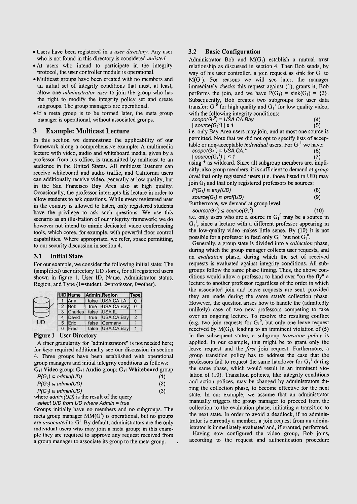- Users have been registered in a *user directory.* Any User who is not found in this directory is considered *unlisted.*
- At users who intend to participate in the integrity protocol, the user controller module is operational.
- Multicast groups have been created with no members and an initial set of integrity conditions that must, at least, allow one *administrator user* to join the group who has the right to modify the integrity policy set and create subgroups. The group managers are operational.
- .If a meta group is to be formed later, the meta group manager is operational, without associated groups.

### **3 Example: Multicast Lecture**

In this section we demonstrate the applicability of our framework along a comprehensive example: A multimedia lecture with video, audio and whiteboard media, given by a professor from his office, is transmitted by multicast to an audience in the United States. All multicast listeners can receive whiteboard and audio traffic, and California users can additionally receive video, generally at low quality, but in the San Francisco Bay Area also at high quality. Occasionally, the professor intempts his lecture in order to allow students to ask questions. While every registered user in the country is allowed to listen, only registered students have the privilege to ask such questions. We use this scenario as an illustration of our integrity framework; we do however not intend to mimic dedicated video conferencing tools, which come, for example, with powerful floor control capabilities. Where appropriate, we refer, space permitting, to our security discussion in section 4.

#### **3.1 Initial State**

For our example, we consider the following initial state: The (simplified) user directory UD stores, for all registered users shown in figure 1, User ID, Name, Administrator status, Region, and Type (l=student, 2=professor, O=other).

|   | <b>UID</b> Name |      | Admin Region     | ype           |
|---|-----------------|------|------------------|---------------|
|   | lAnn            |      | false USA.CA.LA  |               |
|   | <b>Bob</b>      |      | true USA.CA.Bay  | 0             |
| 3 | <b>Charles</b>  |      | false   USA.IL   |               |
|   | David           | true | USA.CA.Bay       | $\mathcal{P}$ |
| 5 | Eric            |      | false Germany    |               |
| 6 | Fred            |      | false USA.CA.Bay |               |

#### Figure 1 - User Directory

A finer granularity for "administrators" is not needed here; for *keys* required additionally see our discussion in section 4. Three groups have been established with operational group managers and initial integrity conditions as follows:

| $\mathrm{G}_1$ : Video group; $\mathrm{G}_2$ : Audio group; $\mathrm{G}_3$ : Whiteboard group |     |
|-----------------------------------------------------------------------------------------------|-----|
| $P(G_1) \subseteq \text{admin}(U D)$                                                          | (1) |

|                                        | .   |
|----------------------------------------|-----|
| $P(G_2) \subseteq \text{admin}(U\Box)$ | (2) |
| $P(G_3) \subseteq \text{admin}(U\Box)$ | (3) |

where  $\frac{admin(UD)}{B}$  is the result of the query

select UID from UD where Admin = true

Groups initially have no members and no subgroups. The meta group manager  $MM(G^1)$  is operational, but no groups are *associated* to G'. By default, administrators are the only individual users who may join a meta group; in this example they are required to approve any request received from a group manager to associate its group to the meta group.

#### **3.2 Basic Configuration**

Administrator Bob and  $M(G_1)$  establish a mutual trust relationship as discussed in section 4. Then Bob sends, by way of his user controller, a join request as sink for  $G<sub>1</sub>$  to  $M(G<sub>1</sub>)$ . For reasons we will see later, the manager immediately checks this request against (l), grants it, Bob performs the join, and we have  $P(G_1) = \text{sink}(G_1) = \{2\}.$ Subsequently, Bob creates two subgroups for user data transfer:  $G_1^0$  for high quality and  $G_1^1$  for low quality video, with the following integrity conditions:

| with the following integrity conditions:                     |     |
|--------------------------------------------------------------|-----|
| $scope(G_1^0) = USA.CA.Bay$                                  | (4) |
| $ source(G_1^0)  \le 1$                                      | (5) |
| i.e. only Bay Area users may join, and at most one source is |     |

permitted. Note that we did not opt to specify lists of acceptable or non-acceptable *individual* users. For  $G_1^1$  we have:

| $scope(G_1') = USA.CA.*$           |  |
|------------------------------------|--|
| $\sim$ $\sim$ $\sim$ $\sim$ $\sim$ |  |

 $|source(G_1')| \leq 1$  $\binom{6}{7}$ **(7)**  using \* as wildcard. Since all subgroup members are, implicitly, also group members, it is sufficient to demand at *group level* that only registered users (i.e. those listed in UD) may join  $G_1$  and that only registered professors be sources:

| $P(G_1) \subseteq any(UD)$ | (8) |
|----------------------------|-----|
|                            |     |

 $source(G_1) \subseteq prof(UD)$  (9) Furthermore, we demand at group level:

 $source(G_1^1) \subseteq source(G_1^0)$  (10)

i.e. only users who are a source in  $G_1^0$  may be a source in  $G_1^1$ , since a lecture with a different professor appearing in the low-quality video makes little sense. By (10) it is not possible for a professor to feed only  $G_1^1$  but not  $G_1^0$ .

Generally, a group state is divided into a *colleciion* phase, during which the group manager collects user requests, and an *evaluation* phase, during which the set of received requests is evaluated against integrity conditions. All subgroups follow the same phase timing. Thus, the above conditions would allow a professor to hand over "on the fly" a lecture to another professor regardless of the order in which the associated join and leave requests are sent, provided they are made during the same state's collection phase. However, the question arises how to handle the (admittedly unlikely) case of two new professors competing to take over an ongoing lecture. To resolve the resulting conflict (e.g. two join requests for  $G_1^0$ , but only one leave request received by  $M(G_1)$ , leading to an imminent violation of (5) in the subsequent state), a subgroup *transition policy* is applied. in our example, this might be to grant only the leave request and the *first* join request. Furthermore, a group transition policy has to address the case that the professors fail to request the same handover for  $G_1^1$  during the same phase, which would result in an imminent violation of (10). Transition policies, like integrity conditions and action polices, may be changed by administrators during the collection phase, to become effective for the next state. In our example, we assume that an administrator manually triggers the group manager to proceed from the collection to the evaluation phase, initiating a transition to the next state. In order to avoid a deadlock, if no administrator is currently a member, a join request from an administrator is immediately evaluated and, if granted, performed.

Having now configured the video group, Bob joins, according to the request and authentication procedure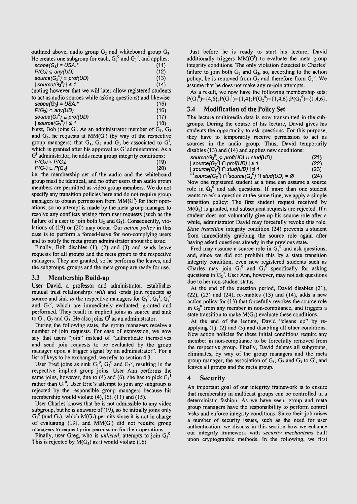outlined above, audio group  $G_2$  and whiteboard group  $G_3$ . He creates one subgroup for each,  $G_2^0$  and  $G_3^0$ , and applies:

| $scope(G_2) = USA.*$                   |  |  | (11) |
|----------------------------------------|--|--|------|
| $P(G_2) \subseteq any(UD)$             |  |  | (12) |
| source( $G_2^0$ ) $\subseteq$ prof(UD) |  |  | (13) |
| source( $G_2^0$ )   $\leq 1$           |  |  | (14) |
|                                        |  |  |      |

(noting however that we will later allow registered students to act as audio sources while asking questions) and likewise

| $scope(G_3) = USA.*$                                      | (15) |
|-----------------------------------------------------------|------|
| $P(G_3) \subseteq any(UD)$                                | (16) |
| source(G <sub>3</sub> <sup>0</sup> ) $\subseteq$ prof(UD) | (17) |
| $ source(G_3^0)  \le 1$                                   | (18) |
|                                                           |      |

Next, Bob joins G'. As an administrator member of  $G_1, G_2$ and  $G_3$ , he requests at  $MM(G<sup>1</sup>)$  (by way of the respective group managers) that  $G_1$ ,  $G_2$  and  $G_3$  be associated to  $G<sup>1</sup>$ , which is granted after his approval as G<sup>1</sup> administrator. As a  $G<sup>I</sup>$  administrator, he adds meta group integrity conditions:

| $P(G_2) = P(G_3)$ |  |  | (19) |
|-------------------|--|--|------|
|                   |  |  |      |

 $P(G_1) \subseteq P(G_2)$  (20) i.e. the membership set of the audio and the whiteboard group must be identical, and no other users than audio group members are pennitted as video group members. We do not specify any transition policies here and do not require group managers to obtain permission from MM(G<sup>'</sup>) for their operations, so no attempt is made by the meta group manager to resolve any conflicts arising from user requests (such as the failure of a user to join both  $G_2$  and  $G_3$ ). Consequently, violations of (19) or (20) may occur. Our *action policy* in this case is to perform a forced-leave for non-complying users and to notify the meta group administrator about the issue.

Finally, Bob disables (I), (2) and (3) and sends leave requests for all groups and the meta group to the respective managers. They are granted, so he performs the leaves, and the subgroups, groups and the meta group are ready for use.

#### **3.3 Membership Build-up**

User David, a professor and administrator. establishes mutual trust relationships *with* and sends join requests as source and sink *to* the respective managers for  $G_1^0$ ,  $G_1^1$ ,  $G_2^0$ and  $G_3^0$ , which are immediately evaluated, granted and performed. They result in implicit joins as source and sink to  $G_1$ ,  $G_2$  and  $G_3$ . He also joins  $G^I$  as an administrator.

During the following state, the group managers receive a number of join requests. For ease of expression, we now say that users "join" instead of "authenticate themselves and send join requests to be evaluated by the group manager upon a trigger signal by an administrator". For a list of keys to be exchanged, we refer to section 4.3.

User Fred joins as sink  $G_1^0$ ,  $G_2^0$  and  $G_3^0$ , resulting in the respective implicit group joins. User Ann performs the same joins, however, due to (4) and (6), she has to pick  $G_1^1$ rather than  $G_1^0$ . User Eric's attempt to join any subgroup is rejected by the responsible group managers because his membership would violate (4), (6), (11) and (15).

User Charles knows that he is not admissible to any video subgroup, but he is unaware of (19), so he initially joins only  $G_2^0$  (and  $G_2$ ), which M( $G_2$ ) permits since it is not in charge of evaluating  $(19)$ , and  $MM(G')$  did not require group managers to request prior permission for their operations.

Finally, user Greg, who is *unlisted*, attempts to join G<sub>2</sub><sup>0</sup>. This is rejected by  $M(G_3)$  as it would violate (16).

Just before he is ready to start his lecture, David additionally triggers  $MM(G')$  to evaluate the meta group integrity conditions. The only violation detected is Charles' failure to join both  $G_2$  and  $G_3$ , so, according to the action policy, he is removed from  $G_2$  and therefore from  $G_2^0$ . We assume that he does not make any re-join attempts.

As a result, we now have the following membership sets:  $P(G_1^{0}) = {4,6}$ ; $P(G_1^{1}) = {1,4}$ ; $P(G_2^{0}) = {1,4,6}$ ; $P(G_3^{0}) = {1,4,6}$ .

#### **3.4 Modification of the Policy Set**

The lecture multimedia data is now transmitted in the subgroups. During the Course of his lecture, David gives his students the opportunity to ask questions. For this purpose, they have to temporarily receive permission to act as sources in the audio group. Thus, David temporarily disables (13) and (14) and applies new conditions:

| source(G <sub>2</sub> <sup>0</sup> ) $\subseteq$ prof(UD) $\cup$ stud(UD) | (21) |
|---------------------------------------------------------------------------|------|
| $  source(G_2^0) \cap prof(UD)  \leq 1$                                   | (22) |
| $\mid$ source(G <sub>2</sub> <sup>0</sup> ) $\cap$ stud(UD) $\mid$ ≤ 1    | (23) |

<sup>1</sup>source(G<sub>2</sub><sup>0</sup>)  $\cap$  'source(G<sub>2</sub><sup>0</sup>)  $\cap$  stud(UD) =  $\emptyset$  (24) Now one registered student at a time can assume a source role in  $G_2^0$  and ask questions. If more than one student wants to ask a question at the Same time, we apply a simple transition policy: The first student request received by  $M(G<sub>2</sub>)$  is granted, and subsequent requests are rejected. If a student does not voluntarily give up his source role after a while, administrator David may forcefully revoke this role. *Stute transition* integrity condition (24) prevents a student ffom imrnediately grabbing the source role again after

having asked questions already in the previous state. Fred may assume a source role in  $G_2$ <sup>0</sup> and ask questions, and, since we did not prohibit this by a state transition integrity condition, even new registered students such as Charles may join  $G_2^{\circ}$  and  $G_3^{\circ}$  specifically for asking questions in  $G_2^{\circ}$ . User Ann, however, may not ask questions due to her non-student status.

At the end of the question period, David disables (21), (22), (23) and (24), re-enables (13) and (14), adds a new action policy for (13) that forcefully revokes the source role in  $G_2^0$  from any member in non-compliance, and triggers a state transition to make  $M(G_2)$  evaluate these conditions.

At the end of the lecture, David "cleans up" by reapplying (I), (2) and **(3)** and disabling all other conditions. New action policies for these initial conditions require any member in non-compliance to be forcefully removed from the respective group. Finally, David deletes all subgroups, eliminates, by way of the group managers and the meta group manager, the association of  $G_1$ ,  $G_2$  and  $G_3$  to  $G<sup>I</sup>$ , and leaves all groups and the meta group.

#### **4 Security**

An important goal of our integrity framework is to ensure that membership in multicast groups can be controlled in a deterministic fashion. As we have seen, group and meta group managers have the responsibility to perform control tasks and enforce integrity conditions. Since their job raises a number of security issues, such as the need for user authentication, we discuss in this section how we enhance our integrity framework with *security mechanisms* built upon cryptographic methods. In the following, we first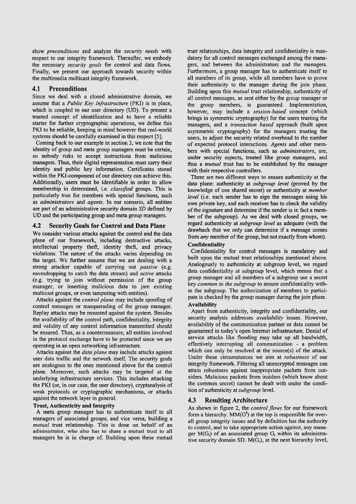show *preconditions* and analyze the *security needs* with respect to our integrity framework. Thereafter, we embody the necessary *security goals* for control and data flows. Finally, we present our approach towards security within the multimedia multicast integrity framework.

#### **4.1 Preconditions**

Since we deal with a closed administrative domain, we assume that a *Public Key Infrastructure (PKI)* is in place, which is coupled to our user directory (UD). To present a trusted concept of identification and to have a reliable starter for further cryptographic operations, we define this PKI to be reliable, keeping in mind however that real-world systems should be carefully examined in this respect [5].

Coming back to our example in section **3,** we note that the identity of group and meta group managers must be certain, so nobody risks to accept instructions from malicious managers. Thus, their digital representation must carry their identity and public key information. Certificates stored within the PM-component of our directory can achieve this. Additionally, users must be identifiable in order to allow membership in determined, i.e. *classified* groups. This is particularly true for members with special functions, such as *administrators* and *agents.* In our Scenario, all entities are part of an administrative security domain SD defined by UD and the participating group and meta group managers.

#### **4.2 Security Goals for Control and Data Plane**

We consider various attacks against the control and the data plane of our framework, including destructive attacks, intellectual property theft, identity theft, and privacy violations. The nature of the attacks varies depending on the target. We further assume that we are dealing with a strong attacker capable of canying out *passive* (e.g. eavesdropping to catch the data stream) and *active* attacks (e.g. trying to join without permission of the group manager, or inserting malicious data to jam existing multicast groups, or even tampering with entities).

Attacks against the *control plane* may include spoofing of control messages or masquerading of the group manager. Replay attacks rnay be mounted against the System. Besides the availability of the control path, confidentiality, integrity and validity of any control information transmitted should be ensured. Thus, as a countermeasure, all entities involved in the protocol exchange have to be protected since we are operating in an Open networking infrastructure.

Attacks against the *data plane* may include attacks against user data traffic and the network itself. The security goals are analogous to the ones mentioned above for the control plane. Moreover, such attacks may be targeted at the underlying infrastructure services. This includes attacking the PKI (or, in our case, the user directory), cryptanalysis of weak protocols or cryptographic mechanisms, or attacks against the network layer in general.

#### **Trust, Authenticity and Integrity**

A meta group manager has to authenticate itself to all managers of associated groups, and vice versa, building a *mutual* trust relationship. This is done on behalf of an administrator, who also has to share a mutual trust to all managers he is in charge of. Building upon these mutual

trust relationships, data integrity and confidentiality is mandatory for all control messages exchanged among the managers, and between the administrators and the managers. Furthermore, a group manager has to authenticate itself to all members of its group, while all members have to prove their authenticity to the manager during the join phase. Building upon this *muttial* trust relationship, authenticity of all control messages, as sent either by the group manager or the group members, is guaranteed. Implementation, however, may include a *session-based* concept (which brings in symmetric cryptography) for the users trusting the managers, and a *transaction based* approach (built upon asyrnmetric cryptography) for the managers trusting the users, to adjust the security related overhead to the number of expected protocol interactions. *Agents* and other members with special functions, such as *administrators,* are, under security aspects, treated like group managers, and thus a *mutual* trust has to be established by the manager with their respective controllers.

There are two different ways to ensure authenticity at the data plane: authenticity at *subgroup level* (proved by the knowledge of one shared secret) or authenticity at *member level* (*i.e.* each sender has to sign the messages using his own private key, and each receiver has to check the validity of the signature and determine if the sender is in fact a member of the subgroup). As we deal with closed groups, we regard authenticity at *subgroup level* as adequate (with the drawback that we only can determine if a message comes from *any* member of the group, but not exactly from whom).

#### **Confidentiality**

Confidentiality for control messages is mandatory and built upon the mutual trust relationships mentioned above. Analogously to authenticity at subgroup level, we regard data confidentiality at subgroup level, which means that a group manager and all members of a subgroup use a secret key *common to the subgroup* to ensure confidentiality within the subgroup. The authorization of members to participate is checked by the group manager during the join phase.

#### **Availability**

Apart from authenticity, integrity and confidentiality, our security analysis addresses *availability* issues. However, availability of the communication partner or data cannot be guaranteed in today's Open Intemet infrastnicture. Denial of service attacks like flooding may take up all bandwidth, effectively interrupting all communication - a problem which can only be resolved at the source(s) of the attack. Under these circumstances we aim at *robustness* of our integrity framework. Filtering all unencrypted messages can attain robustness against inappropriate packets from outsiders. Malicious packets from insiders (which know about the common secret) cannot be dealt with under the condition of authenticity at *subgroup* level.

#### **4.3 Resulting Architecture**

As shown in figure 2, the *control flows* for our framework form a hierarchy.  $MM(G^1)$  at the top is responsible for overall group integrity issues and by definition has the authority to control, and to take appropriate action against, any manager  $M(G_i)$  of an associated group  $G_i$  within its administrative security domain SD.  $M(G_i)$ , at the next hierarchy level,